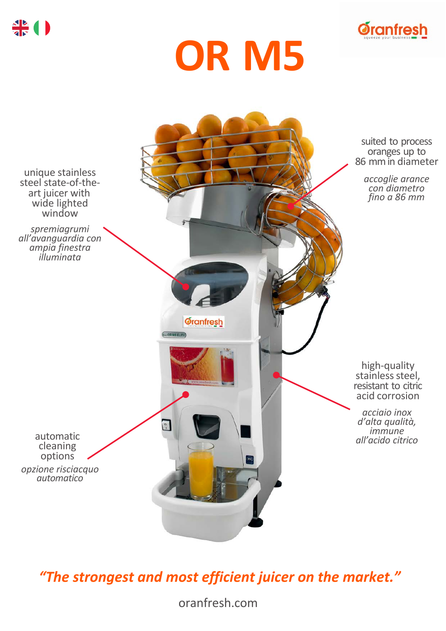







*"The strongest and most efficient juicer on the market."*

oranfresh.com